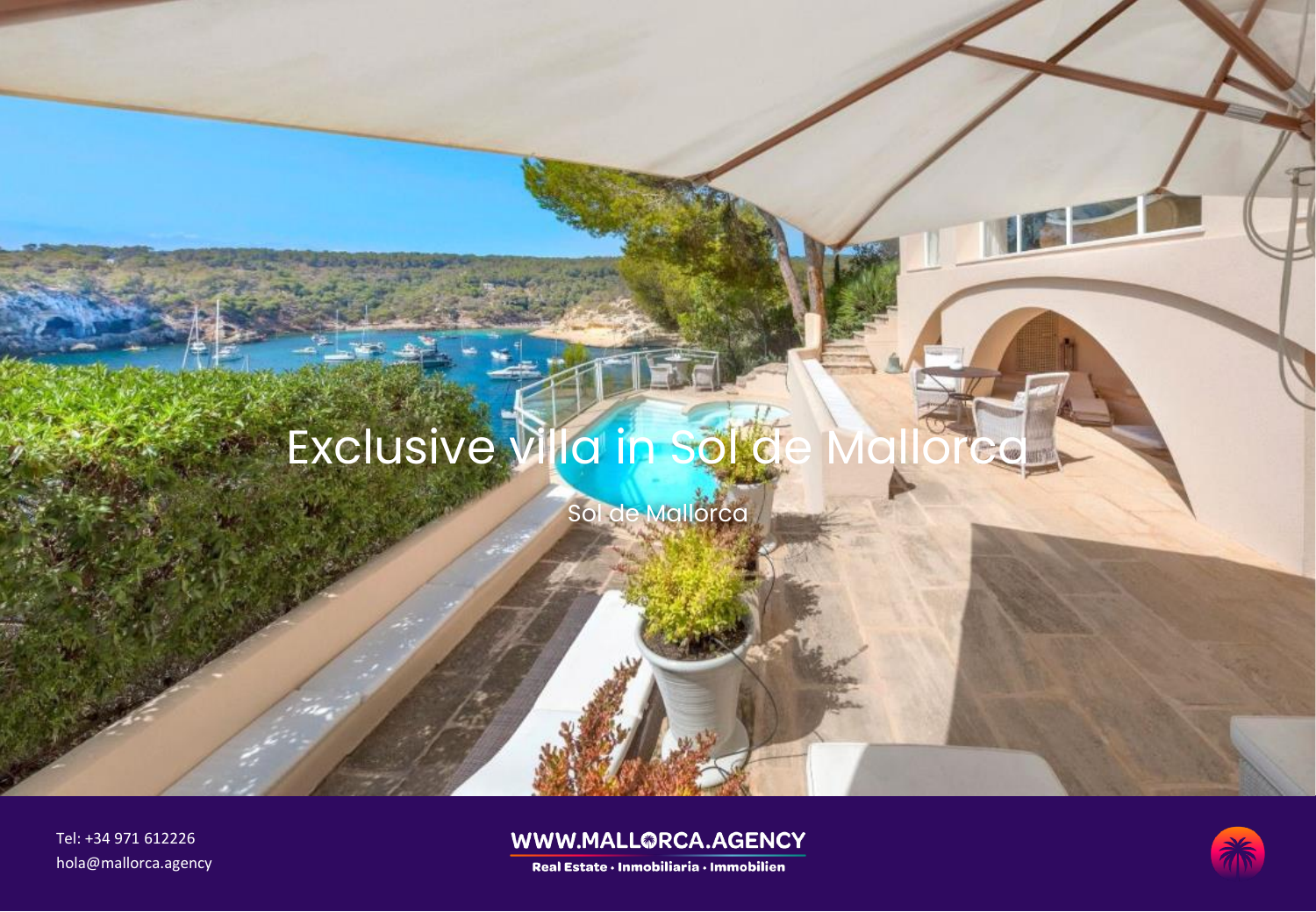# Exclusive Villa in Sol de

Sol de Mallorca

Tel: +34 971 612226 hola@mallorca.agency

### WWW.MALL@RCA.AGENCY

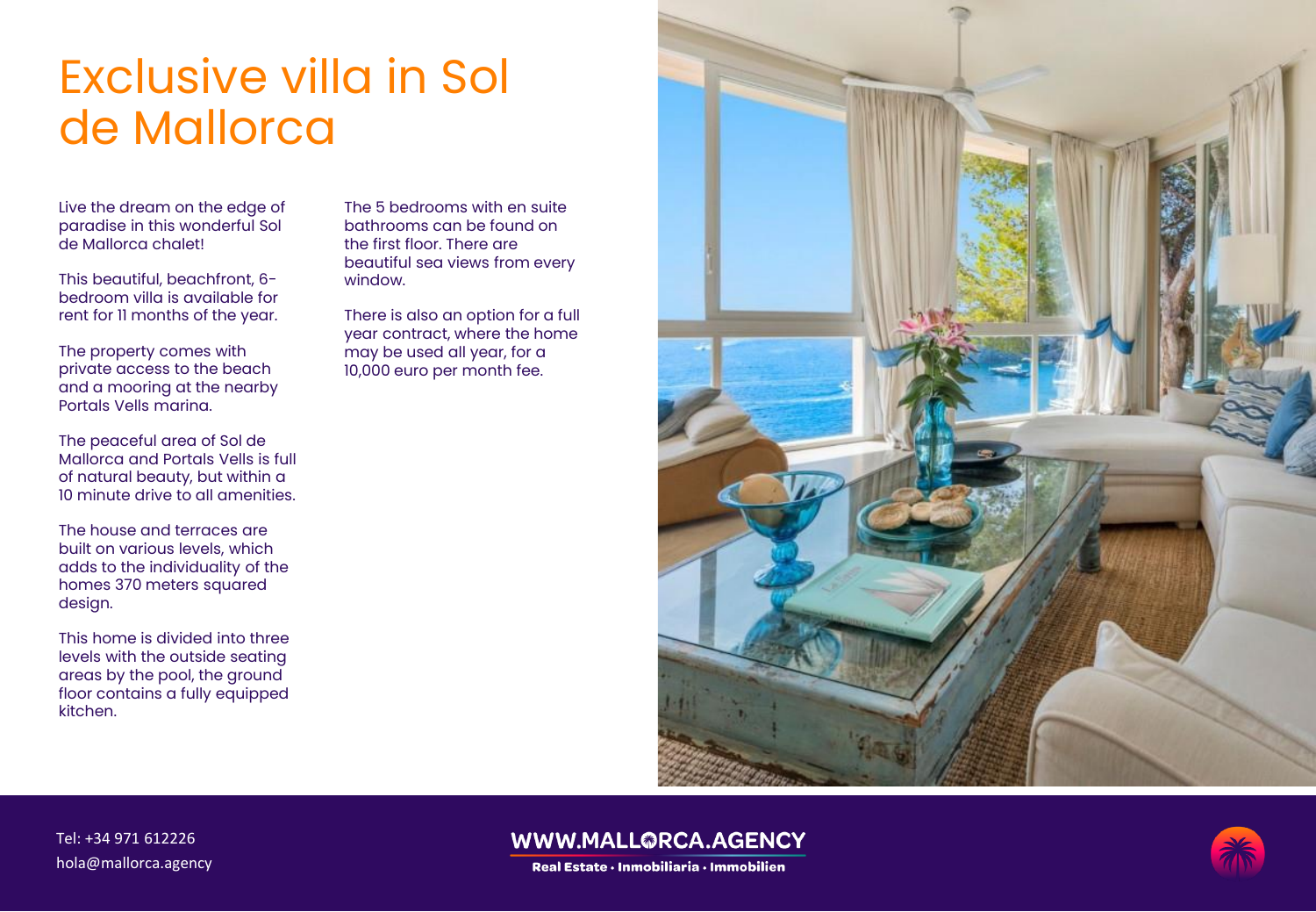# Exclusive villa in Sol de Mallorca

Live the dream on the edge of paradise in this wonderful Sol de Mallorca chalet!

This beautiful, beachfront, 6 bedroom villa is available for rent for 11 months of the year.

The property comes with private access to the beach and a mooring at the nearby Portals Vells marina.

The peaceful area of Sol de Mallorca and Portals Vells is full of natural beauty, but within a 10 minute drive to all amenities.

The house and terraces are built on various levels, which adds to the individuality of the homes 370 meters squared design.

This home is divided into three levels with the outside seating areas by the pool, the ground floor contains a fully equipped kitchen.

The 5 bedrooms with en suite bathrooms can be found on the first floor. There are beautiful sea views from every window.

There is also an option for a full year contract, where the home may be used all year, for a 10,000 euro per month fee.



#### Tel: +34 971 612226 hola@mallorca.agency

### WWW.MALL@RCA.AGENCY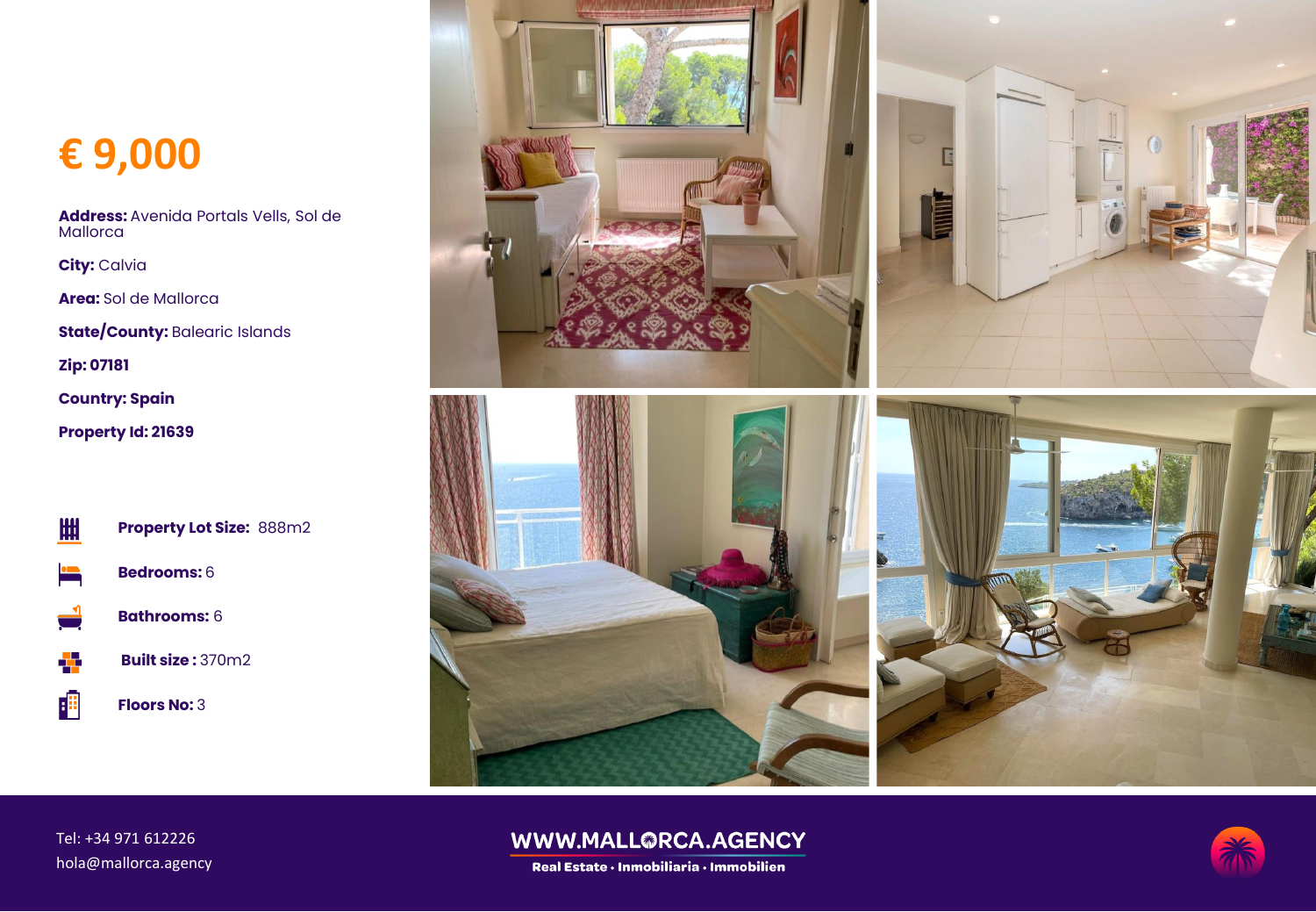## **€ 9,000**

**Address:** Avenida Portals Vells, Sol de **Mallorca** 

**City:** Calvia

**Area:** Sol de Mallorca

**State/County: Balearic Islands** 

**Zip: 07181**

**Country: Spain**

**Property Id: 21639**



個

**Property Lot Size:** 888m2





**Built size :** 370m2

**Floors No:** 3



#### Tel: +34 971 612226 hola@mallorca.agency

### WWW.MALL@RCA.AGENCY